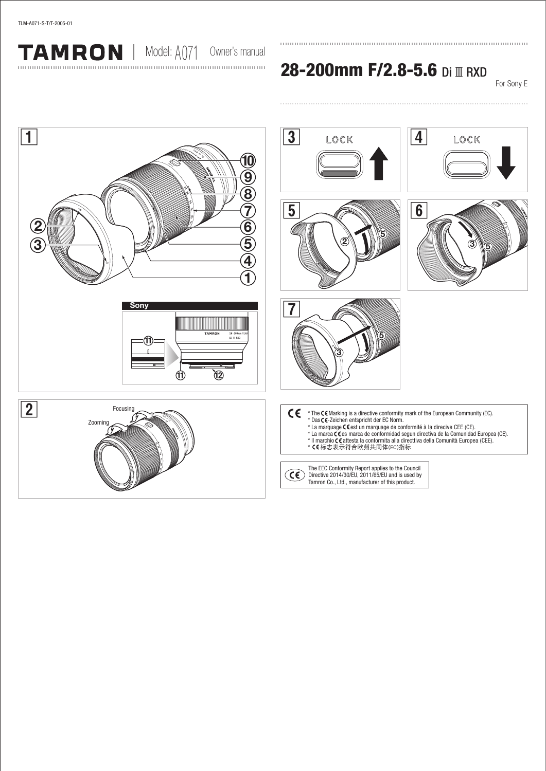TAMRON | Model: A071 Owner's manual

28-200mm F/2.8-5.6 Di III RXD

For Sony E

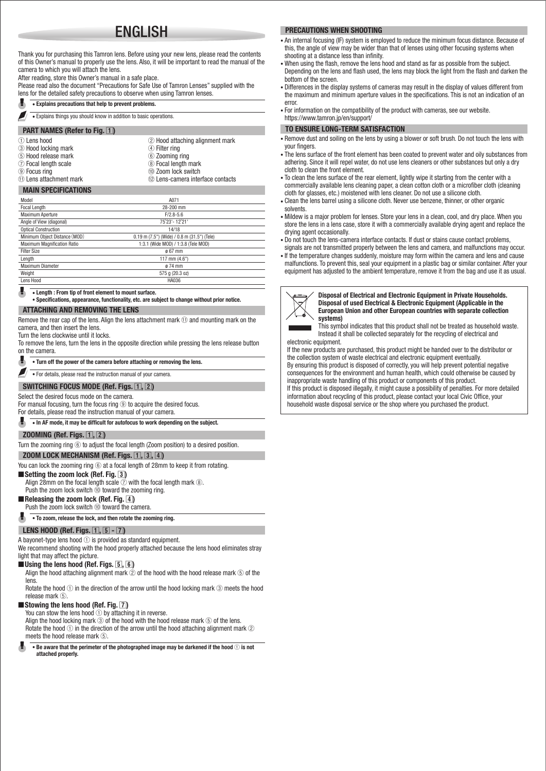# ENGLISH

Thank you for purchasing this Tamron lens. Before using your new lens, please read the contents of this Owner's manual to properly use the lens. Also, it will be important to read the manual of the camera to which you will attach the lens.

After reading, store this Owner's manual in a safe place.

Please read also the document "Precautions for Safe Use of Tamron Lenses" supplied with the lens for the detailed safety precautions to observe when using Tamron lenses.

#### • Explains precautions that help to prevent problems.

• Explains things you should know in addition to basic operations.

#### **PART NAMES (Refer to Fig.**  $\boxed{1}$ **)**

| -- - -                   |                                   |
|--------------------------|-----------------------------------|
| ① Lens hood              | 2 Hood attaching alignment mark   |
| 3 Hood locking mark      | 4 Filter ring                     |
| (5) Hood release mark    | 6 Zooming ring                    |
| 7 Focal length scale     | 8 Focal length mark               |
| <b>9 Focus ring</b>      | 10 Zoom lock switch               |
| 11) Lens attachment mark | 12 Lens-camera interface contacts |
|                          |                                   |

#### MAIN SPECIFICATIONS

| Model                              | A071                                        |  |
|------------------------------------|---------------------------------------------|--|
| Focal Length                       | 28-200 mm                                   |  |
| <b>Maximum Aperture</b>            | $F/2.8 - 5.6$                               |  |
| Angle of View (diagonal)           | 75°23'-12°21'                               |  |
| <b>Optical Construction</b>        | 14/18                                       |  |
| Minimum Object Distance (MOD)      | 0.19 m (7.5") (Wide) / 0.8 m (31.5") (Tele) |  |
| <b>Maximum Magnification Ratio</b> | 1:3.1 (Wide MOD) / 1:3.8 (Tele MOD)         |  |
| <b>Filter Size</b>                 | $0.67$ mm                                   |  |
| Length                             | 117 mm (4.6")                               |  |
| Maximum Diameter                   | ø 74 mm                                     |  |
| Weight                             | 575 g (20.3 oz)                             |  |
| Lens Hood                          | <b>HA036</b>                                |  |
|                                    |                                             |  |

• Length : From tip of front element to mount surface.

• Specifications, appearance, functionality, etc. are subject to change without prior notice.

#### ATTACHING AND REMOVING THE LENS

Remove the rear cap of the lens. Align the lens attachment mark ① and mounting mark on the camera, and then insert the lens.

Turn the lens clockwise until it locks.

To remove the lens, turn the lens in the opposite direction while pressing the lens release button on the camera.

#### л. • Turn off the power of the camera before attaching or removing the lens.

• For details, please read the instruction manual of your camera.

## SWITCHING FOCUS MODE (Ref. Figs.  $\overline{1}$ ,  $\overline{2}$ )

## Select the desired focus mode on the camera.

For manual focusing, turn the focus ring **<sup>®</sup>** to acquire the desired focus.

For details, please read the instruction manual of your camera.

# • In AF mode, it may be difficult for autofocus to work depending on the subject.

#### ZOOMING (Ref. Figs.  $\lceil \overline{1}, \overline{2} \rceil$ )

Turn the zooming ring ⑥ to adjust the focal length (Zoom position) to a desired position.

# **ZOOM LOCK MECHANISM (Ref. Figs.**  $\overline{1}$ **,**  $\overline{3}$ **,**  $\overline{4}$ **)**

You can lock the zooming ring  $@$  at a focal length of 28mm to keep it from rotating.

#### ■ Setting the zoom lock (Ref. Fig. 3)

Align 28mm on the focal length scale  $\vec{Q}$  with the focal length mark  $\vec{Q}$ .

Push the zoom lock switch ⑩ toward the zooming ring.

**Releasing the zoom lock (Ref. Fig.**  $\overline{4}$ **)** 

# Push the zoom lock switch <sup>10</sup> toward the camera.

• To zoom, release the lock, and then rotate the zooming ring.

## LENS HOOD (Ref. Figs.  $[1]$ ,  $[5]$  -  $[7]$ )

A bayonet-type lens hood ① is provided as standard equipment.

We recommend shooting with the hood properly attached because the lens hood eliminates stray light that may affect the picture.

# ■Using the lens hood (Ref. Figs. 5, 6)

Align the hood attaching alignment mark  $\oslash$  of the hood with the hood release mark  $\odot$  of the lens.

Rotate the hood ① in the direction of the arrow until the hood locking mark ③ meets the hood release mark ⑤.

# ■ Stowing the lens hood (Ref. Fig.  $\boxed{7}$ )

You can stow the lens hood ① by attaching it in reverse.

Align the hood locking mark  $\circled{3}$  of the hood with the hood release mark  $\circled{5}$  of the lens. Rotate the hood  $\odot$  in the direction of the arrow until the hood attaching alignment mark  $\odot$ meets the hood release mark ⑤.

 $\bullet$  Be aware that the perimeter of the photographed image may be darkened if the hood  $\circled$  is not attached properly.

#### PRECAUTIONS WHEN SHOOTING

- An internal focusing (IF) system is employed to reduce the minimum focus distance. Because of this, the angle of view may be wider than that of lenses using other focusing systems when shooting at a distance less than infinity.
- When using the flash, remove the lens hood and stand as far as possible from the subject. Depending on the lens and flash used, the lens may block the light from the flash and darken the bottom of the screen.
- Differences in the display systems of cameras may result in the display of values different from the maximum and minimum aperture values in the specifications. This is not an indication of an error.
- For information on the compatibility of the product with cameras, see our website. https://www.tamron.jp/en/support/

#### TO ENSURE LONG-TERM SATISFACTION

- Remove dust and soiling on the lens by using a blower or soft brush. Do not touch the lens with your fingers.
- The lens surface of the front element has been coated to prevent water and oily substances from adhering. Since it will repel water, do not use lens cleaners or other substances but only a dry cloth to clean the front element.
- To clean the lens surface of the rear element, lightly wipe it starting from the center with a commercially available lens cleaning paper, a clean cotton cloth or a microfiber cloth (cleaning cloth for glasses, etc.) moistened with lens cleaner. Do not use a silicone cloth.
- Clean the lens barrel using a silicone cloth. Never use benzene, thinner, or other organic solvents.
- Mildew is a major problem for lenses. Store your lens in a clean, cool, and dry place. When you store the lens in a lens case, store it with a commercially available drying agent and replace the drying agent occasionally.
- Do not touch the lens-camera interface contacts. If dust or stains cause contact problems,
- signals are not transmitted properly between the lens and camera, and malfunctions may occur. • If the temperature changes suddenly, moisture may form within the camera and lens and cause malfunctions. To prevent this, seal your equipment in a plastic bag or similar container. After your
- equipment has adjusted to the ambient temperature, remove it from the bag and use it as usual.



Disposal of Electrical and Electronic Equipment in Private Households. Disposal of used Electrical & Electronic Equipment (Applicable in the European Union and other European countries with separate collection systems)

This symbol indicates that this product shall not be treated as household waste. Instead it shall be collected separately for the recycling of electrical and

electronic equipment. If the new products are purchased, this product might be handed over to the distributor or the collection system of waste electrical and electronic equipment eventually. By ensuring this product is disposed of correctly, you will help prevent potential negative

consequences for the environment and human health, which could otherwise be caused by inappropriate waste handling of this product or components of this product. If this product is disposed illegally, it might cause a possibility of penalties. For more detailed information about recycling of this product, please contact your local Civic Office, your

household waste disposal service or the shop where you purchased the product.